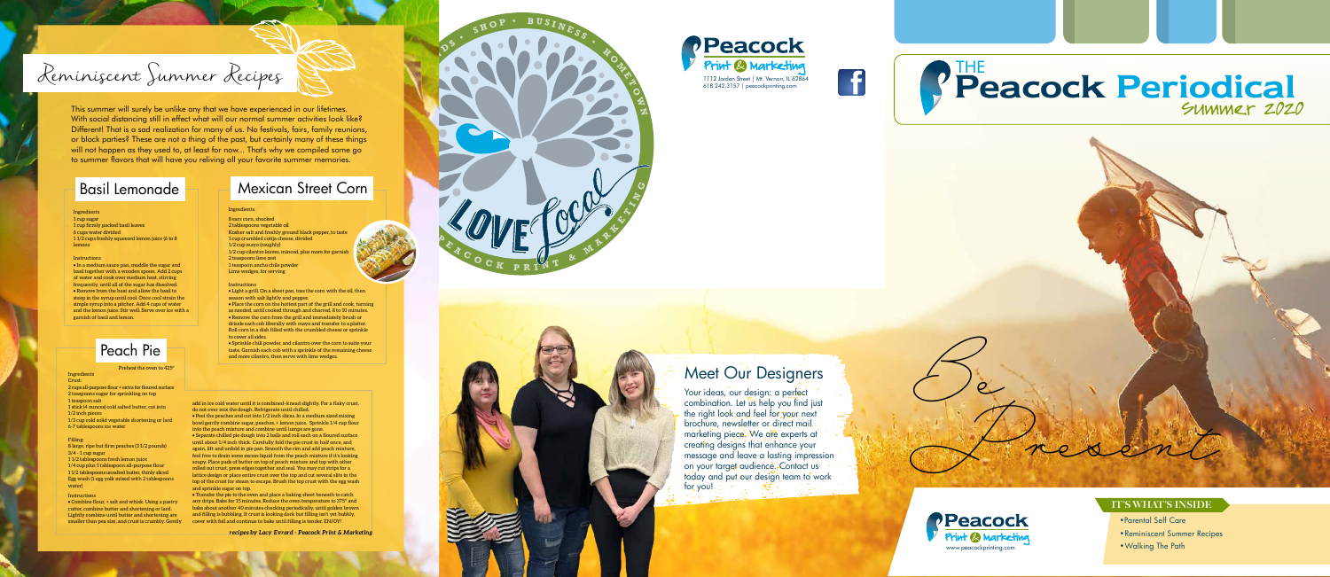*Be* 

*Present*

## 1112 Jordan Street | Mt. Vernon, IL 62864<br>618.242.3157 | peacockprinting.com **Periodical** Summer 2020 THE

## **Meet Our Designers**

Your ideas, our design: a perfect combination. Let us help you find just the right look and feel for your next brochure, newsletter or direct mail: marketing piece. We are experts at creating designs that enhance your message and leave a lasting impression on your target audience. Contact us today and put our design team to work. for you!

 $\boldsymbol{\kappa}_{\! \! \prime}$ **I** $\Leftarrow$ **G**

- •Parental Self Care
- Reminiscent Summer Recipes
- Walking The Path



### IT'S WHAT'S INSIDE







**<sup>P</sup> <sup>E</sup> <sup>A</sup> <sup>C</sup> <sup>O</sup> <sup>C</sup> <sup>K</sup> <sup>P</sup> <sup>R</sup>**

**C**

**ITY** **F**

**R I E N D S**

**•**

**S**

 $\mathbf{H} \mathbf{O} \mathbf{P}$  **• B U**  $\mathbf{S} \mathbf{I} \mathbf{N} \mathbf{E} \mathbf{S} \mathbf{S}$ 

**I N E R M A R E** 

**H O M E T**

**O W N**

# Reminiscent Summer Recipes

This summer will surely be unlike any that we have experienced in our lifetimes. With social distancing still in effect what will our normal summer activities look like? Different! That is a sad realization for many of us. No festivals, fairs, family reunions, or block parties? These are not a thing of the past, but certainly many of these things will not happen as they used to, at least for now... That's why we compiled some go to summer flavors that will have you reliving all your favorite summer memories.

### Basil Lemonade

### Peach Pie

### Mexican Street Corn

#### Ingredients

Ingredient Crust:

1 cup sugar 1 cup firmly packed basil leaves 6 cups water divided 1 1/2 cups freshly squeezed lemon juice (6 to 8 lemons

#### **Instructions**

• In a medium sauce pan, muddle the sugar and basil together with a wooden spoon. Add 2 cups of water and cook over medium heat, stirring frequently, until all of the sugar has dissolved. • Remove from the heat and allow the basil to steep in the syrup until cool. Once cool strain the simple syrup into a pitcher. Add 4 cups of water and the lemon juice. Stir well. Serve over ice with a garnish of basil and lemon.

#### Ingredients

8 ears corn, shucked 2 tablespoons vegetable oil Kosher salt and freshly ground black pepper, to taste 1 cup crumbled cotija cheese, divided 1/2 cup mayo (roughly) 1/2 cup cilantro leaves, minced, plus more for garn 2 teaspoons lime zest 1 teaspoon ancho chile powder Lime wedges, for serving

#### Instructions

• Light a grill. On a sheet pan, toss the corn with the oil, then season with salt lightly and pepper.

• Place the corn on the hottest part of the grill and cook, turning as needed, until cooked through and charred, 8 to 10 minutes. • Remove the corn from the grill and immediately brush or drizzle each cob liberally with mayo and transfer to a platter. Roll corn in a dish filled with the crumbled cheese or sprinkle to cover all sides.

• Sprinkle chili powder, and cilantro over the corn to suite your taste. Garnish each cob with a sprinkle of the remaining cheese and more cilantro, then serve with lime wedges.

2 cups all-purpose flour + extra for floured surface 2 teaspoons sugar for sprinkling on top 1 teaspoon salt

1 stick (4 ounces) cold salted butter, cut into 1/2 inch pieces

1/3 cup cold solid vegetable shortening or lard 6-7 tablespoons ice water

#### Filling:

8 large, ripe but firm peaches (3 1/2 pounds) 3/4 - 1 cup sugar

1 1/2 tablespoons fresh lemon juice 1/4 cup plus 1 tablespoon all-purpose flour 1 1/2 tablespoons unsalted butter, thinly sliced Egg wash (1 egg yolk mixed with 2 tablespoons water)

#### Preheat the oven to 425°

#### Instructions

• Combine flour, + salt and whisk. Using a pastry cutter, combine butter and shortening or lard. Lightly combine until butter and shortening are smaller than pea size, and crust is crumbly. Gently add in ice cold water until it is combined–knead slightly. For a flaky crust, do not over mix the dough. Refrigerate until chilled.

• Peel the peaches and cut into 1/2 inch slices. In a medium sized mixing bowl gently combine sugar, peaches, + lemon juice. Sprinkle 1/4 cup flour into the peach mixture and combine until lumps are gone. • Separate chilled pie dough into 2 balls and roll each on a floured surface

until about 1/4 inch thick. Carefully fold the pie crust in half once, and again, lift and unfold in pie pan. Smooth the rim and add peach mixture, feel free to drain some excess liquid from the peach mixture if it's looking soupy. Place pads of butter on top of peach mixture and top with other rolled out crust, press edges together and seal. You may cut strips for a lattice design or place entire crust over the top and cut several slits in the top of the crust for steam to escape. Brush the top crust with the egg wash and sprinkle sugar on top.

• Transfer the pie to the oven and place a baking sheet beneath to catch any drips. Bake for 15 minutes. Reduce the oven temperature to 375° and bake about another 40 minutes checking periodically, until golden brown and filling is bubbling. If crust is looking dark but filling isn't yet bubbly, cover with foil and continue to bake until filling is tender. ENJOY!

*recipes by Lacy Evrard - Peacock Print & Marketing*